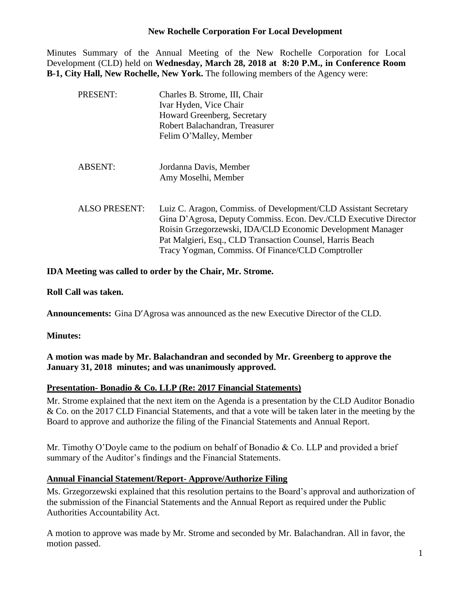## **New Rochelle Corporation For Local Development**

Minutes Summary of the Annual Meeting of the New Rochelle Corporation for Local Development (CLD) held on **Wednesday, March 28, 2018 at 8:20 P.M., in Conference Room B-1, City Hall, New Rochelle, New York.** The following members of the Agency were:

| PRESENT:             | Charles B. Strome, III, Chair<br>Ivar Hyden, Vice Chair<br>Howard Greenberg, Secretary<br>Robert Balachandran, Treasurer<br>Felim O'Malley, Member                                                                                                                                                                  |
|----------------------|---------------------------------------------------------------------------------------------------------------------------------------------------------------------------------------------------------------------------------------------------------------------------------------------------------------------|
| <b>ABSENT:</b>       | Jordanna Davis, Member<br>Amy Moselhi, Member                                                                                                                                                                                                                                                                       |
| <b>ALSO PRESENT:</b> | Luiz C. Aragon, Commiss. of Development/CLD Assistant Secretary<br>Gina D'Agrosa, Deputy Commiss. Econ. Dev./CLD Executive Director<br>Roisin Grzegorzewski, IDA/CLD Economic Development Manager<br>Pat Malgieri, Esq., CLD Transaction Counsel, Harris Beach<br>Tracy Yogman, Commiss. Of Finance/CLD Comptroller |

## **IDA Meeting was called to order by the Chair, Mr. Strome.**

**Roll Call was taken.**

**Announcements:** Gina D'Agrosa was announced as the new Executive Director of the CLD.

**Minutes:**

**A motion was made by Mr. Balachandran and seconded by Mr. Greenberg to approve the January 31, 2018 minutes; and was unanimously approved.**

#### **Presentation- Bonadio & Co. LLP (Re: 2017 Financial Statements)**

Mr. Strome explained that the next item on the Agenda is a presentation by the CLD Auditor Bonadio & Co. on the 2017 CLD Financial Statements, and that a vote will be taken later in the meeting by the Board to approve and authorize the filing of the Financial Statements and Annual Report.

Mr. Timothy O'Doyle came to the podium on behalf of Bonadio & Co. LLP and provided a brief summary of the Auditor's findings and the Financial Statements.

#### **Annual Financial Statement/Report- Approve/Authorize Filing**

Ms. Grzegorzewski explained that this resolution pertains to the Board's approval and authorization of the submission of the Financial Statements and the Annual Report as required under the Public Authorities Accountability Act.

A motion to approve was made by Mr. Strome and seconded by Mr. Balachandran. All in favor, the motion passed.